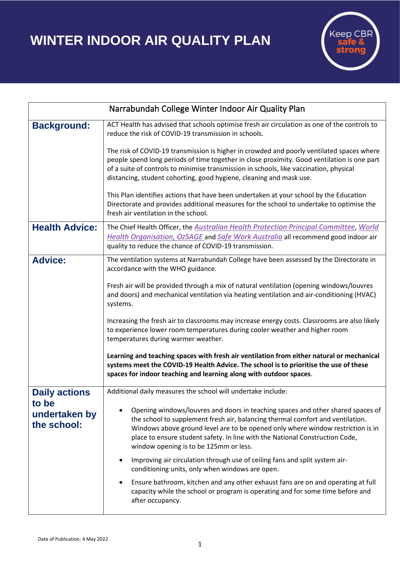**WINTER INDOOR AIR QUALITY PLAN**



| Narrabundah College Winter Indoor Air Quality Plan |                                                                                                                                                                                                                                                                                                                                                                                |
|----------------------------------------------------|--------------------------------------------------------------------------------------------------------------------------------------------------------------------------------------------------------------------------------------------------------------------------------------------------------------------------------------------------------------------------------|
| <b>Background:</b>                                 | ACT Health has advised that schools optimise fresh air circulation as one of the controls to<br>reduce the risk of COVID-19 transmission in schools.                                                                                                                                                                                                                           |
|                                                    | The risk of COVID-19 transmission is higher in crowded and poorly ventilated spaces where<br>people spend long periods of time together in close proximity. Good ventilation is one part<br>of a suite of controls to minimise transmission in schools, like vaccination, physical<br>distancing, student cohorting, good hygiene, cleaning and mask use.                      |
|                                                    | This Plan identifies actions that have been undertaken at your school by the Education<br>Directorate and provides additional measures for the school to undertake to optimise the<br>fresh air ventilation in the school.                                                                                                                                                     |
| <b>Health Advice:</b>                              | The Chief Health Officer, the Australian Health Protection Principal Committee, World<br>Health Organisation, OzSAGE and Safe Work Australia all recommend good indoor air<br>quality to reduce the chance of COVID-19 transmission.                                                                                                                                           |
| <b>Advice:</b>                                     | The ventilation systems at Narrabundah College have been assessed by the Directorate in<br>accordance with the WHO guidance.                                                                                                                                                                                                                                                   |
|                                                    | Fresh air will be provided through a mix of natural ventilation (opening windows/louvres<br>and doors) and mechanical ventilation via heating ventilation and air-conditioning (HVAC)<br>systems.                                                                                                                                                                              |
|                                                    | Increasing the fresh air to classrooms may increase energy costs. Classrooms are also likely<br>to experience lower room temperatures during cooler weather and higher room<br>temperatures during warmer weather.                                                                                                                                                             |
|                                                    | Learning and teaching spaces with fresh air ventilation from either natural or mechanical<br>systems meet the COVID-19 Health Advice. The school is to prioritise the use of these<br>spaces for indoor teaching and learning along with outdoor spaces.                                                                                                                       |
| <b>Daily actions</b>                               | Additional daily measures the school will undertake include:                                                                                                                                                                                                                                                                                                                   |
| to be<br>undertaken by<br>the school:              | Opening windows/louvres and doors in teaching spaces and other shared spaces of<br>the school to supplement fresh air, balancing thermal comfort and ventilation.<br>Windows above ground level are to be opened only where window restriction is in<br>place to ensure student safety. In line with the National Construction Code,<br>window opening is to be 125mm or less. |
|                                                    | Improving air circulation through use of ceiling fans and split system air-<br>conditioning units, only when windows are open.                                                                                                                                                                                                                                                 |
|                                                    | Ensure bathroom, kitchen and any other exhaust fans are on and operating at full<br>capacity while the school or program is operating and for some time before and<br>after occupancy.                                                                                                                                                                                         |